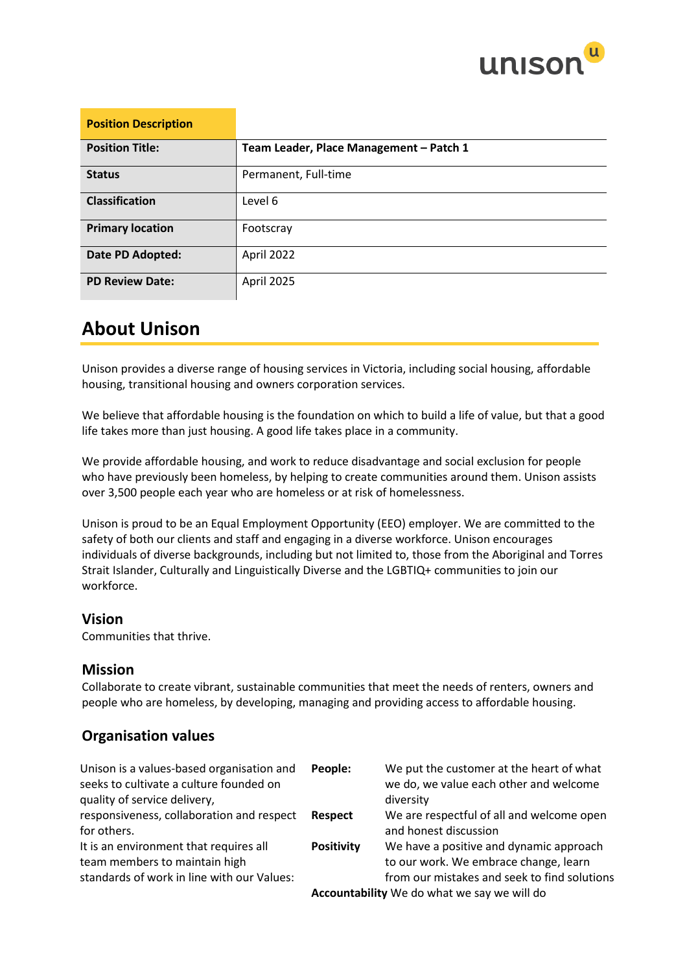

| <b>Position Description</b> |                                         |
|-----------------------------|-----------------------------------------|
| <b>Position Title:</b>      | Team Leader, Place Management - Patch 1 |
| <b>Status</b>               | Permanent, Full-time                    |
| <b>Classification</b>       | Level 6                                 |
| <b>Primary location</b>     | Footscray                               |
| Date PD Adopted:            | April 2022                              |
| <b>PD Review Date:</b>      | April 2025                              |

## **About Unison**

Unison provides a diverse range of housing services in Victoria, including social housing, affordable housing, transitional housing and owners corporation services.

We believe that affordable housing is the foundation on which to build a life of value, but that a good life takes more than just housing. A good life takes place in a community.

We provide affordable housing, and work to reduce disadvantage and social exclusion for people who have previously been homeless, by helping to create communities around them. Unison assists over 3,500 people each year who are homeless or at risk of homelessness.

Unison is proud to be an Equal Employment Opportunity (EEO) employer. We are committed to the safety of both our clients and staff and engaging in a diverse workforce. Unison encourages individuals of diverse backgrounds, including but not limited to, those from the Aboriginal and Torres Strait Islander, Culturally and Linguistically Diverse and the LGBTIQ+ communities to join our workforce.

### **Vision**

Communities that thrive.

### **Mission**

Collaborate to create vibrant, sustainable communities that meet the needs of renters, owners and people who are homeless, by developing, managing and providing access to affordable housing.

### **Organisation values**

| Unison is a values-based organisation and<br>seeks to cultivate a culture founded on | People:           | We put the customer at the heart of what<br>we do, we value each other and welcome |
|--------------------------------------------------------------------------------------|-------------------|------------------------------------------------------------------------------------|
| quality of service delivery,                                                         |                   | diversity                                                                          |
| responsiveness, collaboration and respect                                            | <b>Respect</b>    | We are respectful of all and welcome open                                          |
| for others.                                                                          |                   | and honest discussion                                                              |
| It is an environment that requires all<br>team members to maintain high              | <b>Positivity</b> | We have a positive and dynamic approach<br>to our work. We embrace change, learn   |
| standards of work in line with our Values:                                           |                   | from our mistakes and seek to find solutions                                       |
|                                                                                      |                   | Accountability We do what we say we will do                                        |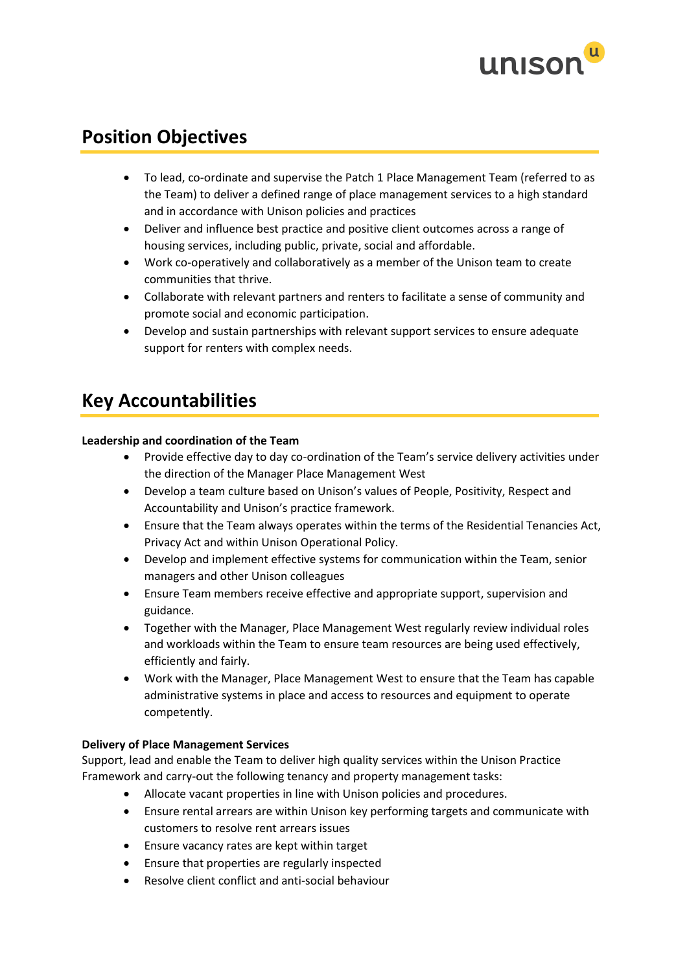

## **Position Objectives**

- To lead, co-ordinate and supervise the Patch 1 Place Management Team (referred to as the Team) to deliver a defined range of place management services to a high standard and in accordance with Unison policies and practices
- Deliver and influence best practice and positive client outcomes across a range of housing services, including public, private, social and affordable.
- Work co-operatively and collaboratively as a member of the Unison team to create communities that thrive.
- Collaborate with relevant partners and renters to facilitate a sense of community and promote social and economic participation.
- Develop and sustain partnerships with relevant support services to ensure adequate support for renters with complex needs.

## **Key Accountabilities**

#### **Leadership and coordination of the Team**

- Provide effective day to day co-ordination of the Team's service delivery activities under the direction of the Manager Place Management West
- Develop a team culture based on Unison's values of People, Positivity, Respect and Accountability and Unison's practice framework.
- Ensure that the Team always operates within the terms of the Residential Tenancies Act, Privacy Act and within Unison Operational Policy.
- Develop and implement effective systems for communication within the Team, senior managers and other Unison colleagues
- Ensure Team members receive effective and appropriate support, supervision and guidance.
- Together with the Manager, Place Management West regularly review individual roles and workloads within the Team to ensure team resources are being used effectively, efficiently and fairly.
- Work with the Manager, Place Management West to ensure that the Team has capable administrative systems in place and access to resources and equipment to operate competently.

#### **Delivery of Place Management Services**

Support, lead and enable the Team to deliver high quality services within the Unison Practice Framework and carry-out the following tenancy and property management tasks:

- Allocate vacant properties in line with Unison policies and procedures.
- Ensure rental arrears are within Unison key performing targets and communicate with customers to resolve rent arrears issues
- Ensure vacancy rates are kept within target
- Ensure that properties are regularly inspected
- Resolve client conflict and anti-social behaviour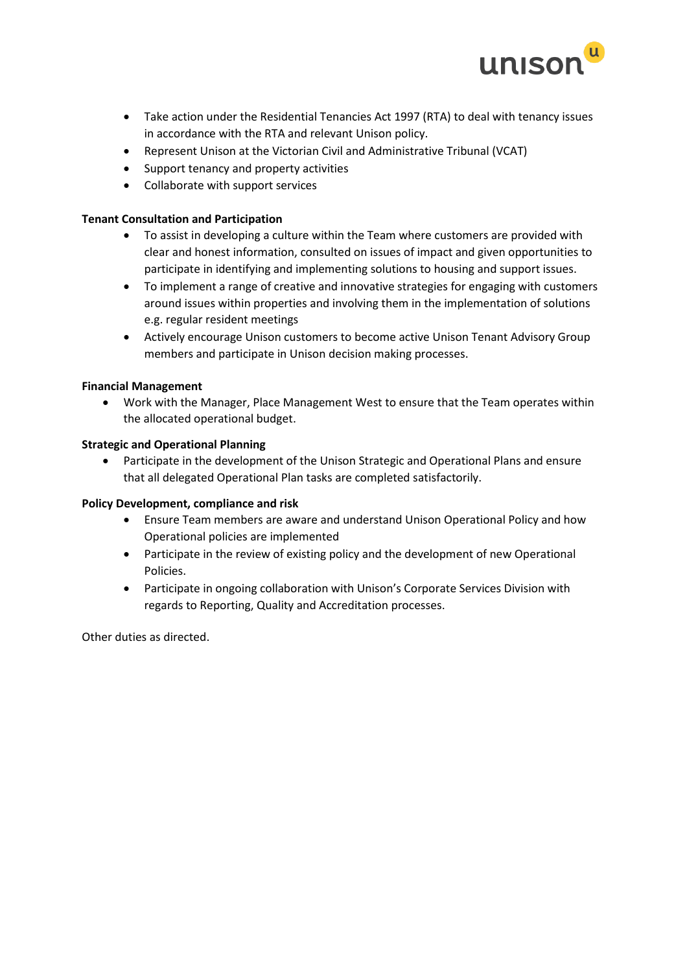

- Take action under the Residential Tenancies Act 1997 (RTA) to deal with tenancy issues in accordance with the RTA and relevant Unison policy.
- Represent Unison at the Victorian Civil and Administrative Tribunal (VCAT)
- Support tenancy and property activities
- Collaborate with support services

#### **Tenant Consultation and Participation**

- To assist in developing a culture within the Team where customers are provided with clear and honest information, consulted on issues of impact and given opportunities to participate in identifying and implementing solutions to housing and support issues.
- To implement a range of creative and innovative strategies for engaging with customers around issues within properties and involving them in the implementation of solutions e.g. regular resident meetings
- Actively encourage Unison customers to become active Unison Tenant Advisory Group members and participate in Unison decision making processes.

#### **Financial Management**

• Work with the Manager, Place Management West to ensure that the Team operates within the allocated operational budget.

#### **Strategic and Operational Planning**

• Participate in the development of the Unison Strategic and Operational Plans and ensure that all delegated Operational Plan tasks are completed satisfactorily.

#### **Policy Development, compliance and risk**

- Ensure Team members are aware and understand Unison Operational Policy and how Operational policies are implemented
- Participate in the review of existing policy and the development of new Operational Policies.
- Participate in ongoing collaboration with Unison's Corporate Services Division with regards to Reporting, Quality and Accreditation processes.

Other duties as directed.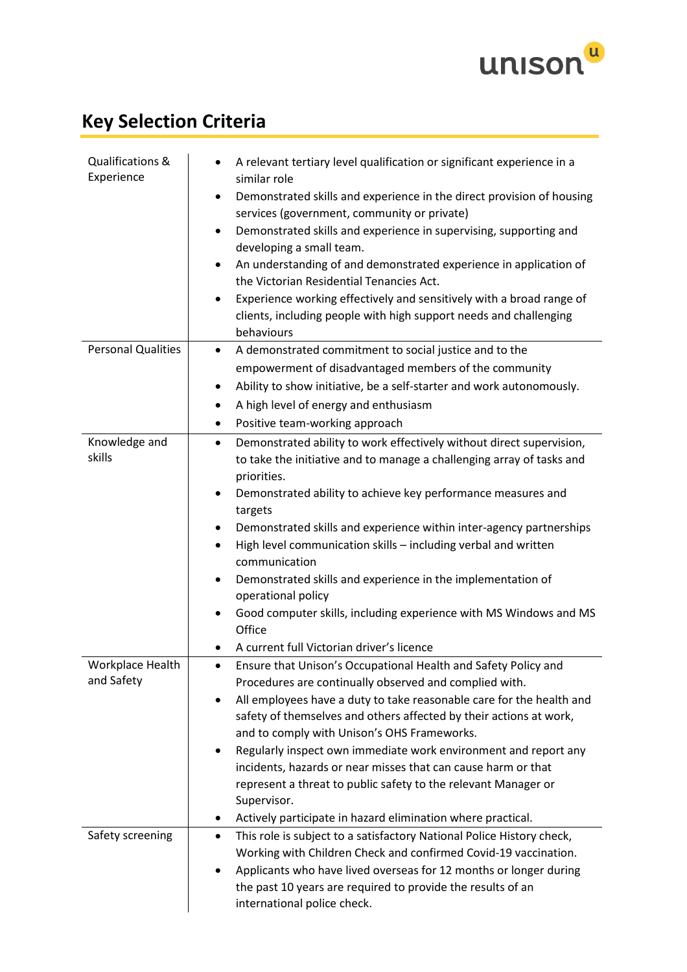

# **Key Selection Criteria**

| Qualifications &<br>Experience | A relevant tertiary level qualification or significant experience in a<br>similar role                                                                               |
|--------------------------------|----------------------------------------------------------------------------------------------------------------------------------------------------------------------|
|                                | Demonstrated skills and experience in the direct provision of housing<br>$\bullet$                                                                                   |
|                                | services (government, community or private)                                                                                                                          |
|                                | Demonstrated skills and experience in supervising, supporting and<br>$\bullet$<br>developing a small team.                                                           |
|                                | An understanding of and demonstrated experience in application of<br>$\bullet$<br>the Victorian Residential Tenancies Act.                                           |
|                                | Experience working effectively and sensitively with a broad range of<br>$\bullet$<br>clients, including people with high support needs and challenging<br>behaviours |
| <b>Personal Qualities</b>      | A demonstrated commitment to social justice and to the<br>$\bullet$                                                                                                  |
|                                | empowerment of disadvantaged members of the community                                                                                                                |
|                                | Ability to show initiative, be a self-starter and work autonomously.<br>٠                                                                                            |
|                                | A high level of energy and enthusiasm<br>٠                                                                                                                           |
|                                | Positive team-working approach<br>٠                                                                                                                                  |
| Knowledge and                  | Demonstrated ability to work effectively without direct supervision,<br>٠                                                                                            |
| skills                         | to take the initiative and to manage a challenging array of tasks and                                                                                                |
|                                | priorities.                                                                                                                                                          |
|                                | Demonstrated ability to achieve key performance measures and<br>$\bullet$                                                                                            |
|                                | targets                                                                                                                                                              |
|                                | Demonstrated skills and experience within inter-agency partnerships<br>٠                                                                                             |
|                                | High level communication skills - including verbal and written<br>$\bullet$                                                                                          |
|                                | communication                                                                                                                                                        |
|                                | Demonstrated skills and experience in the implementation of<br>operational policy                                                                                    |
|                                | Good computer skills, including experience with MS Windows and MS                                                                                                    |
|                                | Office                                                                                                                                                               |
|                                | A current full Victorian driver's licence                                                                                                                            |
| <b>Workplace Health</b>        | Ensure that Unison's Occupational Health and Safety Policy and<br>$\bullet$                                                                                          |
| and Safety                     | Procedures are continually observed and complied with.                                                                                                               |
|                                | All employees have a duty to take reasonable care for the health and<br>٠                                                                                            |
|                                | safety of themselves and others affected by their actions at work,                                                                                                   |
|                                | and to comply with Unison's OHS Frameworks.                                                                                                                          |
|                                | Regularly inspect own immediate work environment and report any<br>incidents, hazards or near misses that can cause harm or that                                     |
|                                | represent a threat to public safety to the relevant Manager or                                                                                                       |
|                                | Supervisor.                                                                                                                                                          |
|                                | Actively participate in hazard elimination where practical.                                                                                                          |
| Safety screening               | This role is subject to a satisfactory National Police History check,<br>$\bullet$                                                                                   |
|                                | Working with Children Check and confirmed Covid-19 vaccination.                                                                                                      |
|                                | Applicants who have lived overseas for 12 months or longer during                                                                                                    |
|                                | the past 10 years are required to provide the results of an                                                                                                          |
|                                | international police check.                                                                                                                                          |